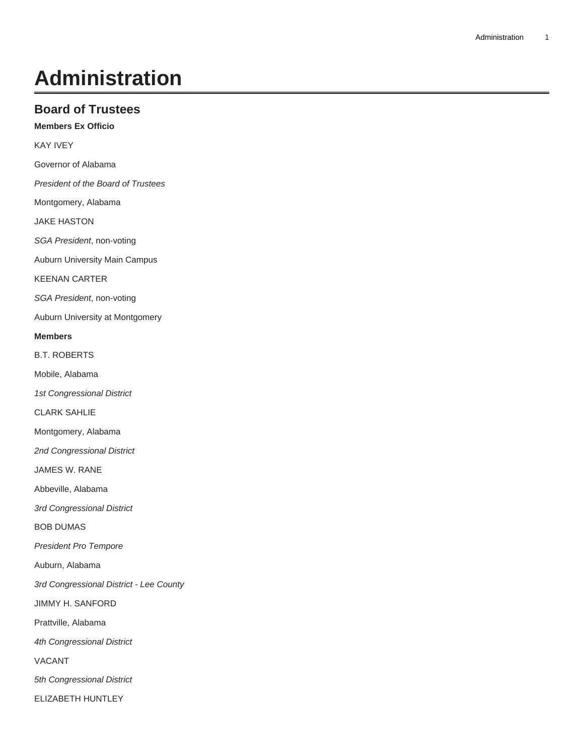# **Administration**

# **Board of Trustees**

**Members Ex Officio**

KAY IVEY

Governor of Alabama

President of the Board of Trustees

Montgomery, Alabama

JAKE HASTON

SGA President, non-voting

Auburn University Main Campus

KEENAN CARTER

SGA President, non-voting

Auburn University at Montgomery

# **Members**

B.T. ROBERTS

Mobile, Alabama

1st Congressional District

CLARK SAHLIE

Montgomery, Alabama

2nd Congressional District

JAMES W. RANE

Abbeville, Alabama

3rd Congressional District

BOB DUMAS

President Pro Tempore

Auburn, Alabama

3rd Congressional District - Lee County

JIMMY H. SANFORD

Prattville, Alabama

4th Congressional District

VACANT

5th Congressional District

ELIZABETH HUNTLEY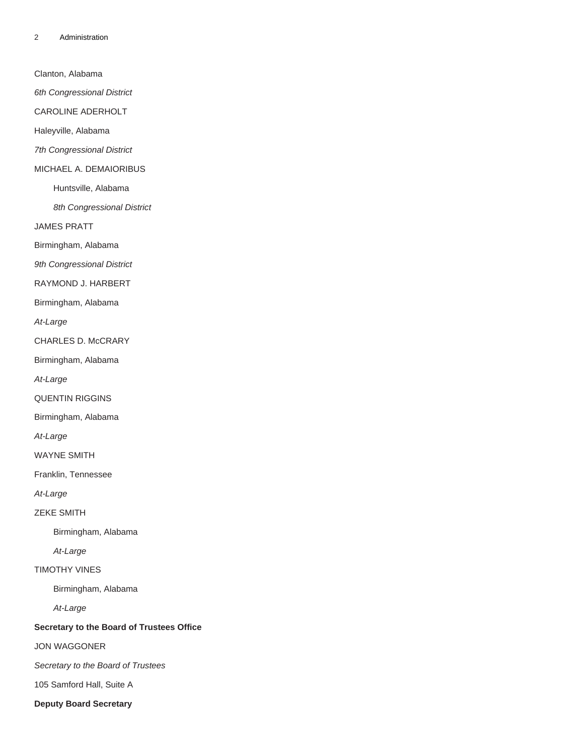Clanton, Alabama

6th Congressional District

CAROLINE ADERHOLT

Haleyville, Alabama

7th Congressional District

#### MICHAEL A. DEMAIORIBUS

Huntsville, Alabama

8th Congressional District

JAMES PRATT

Birmingham, Alabama

9th Congressional District

RAYMOND J. HARBERT

Birmingham, Alabama

At-Large

CHARLES D. McCRARY

Birmingham, Alabama

At-Large

QUENTIN RIGGINS

Birmingham, Alabama

At-Large

WAYNE SMITH

Franklin, Tennessee

At-Large

ZEKE SMITH

Birmingham, Alabama

At-Large

# TIMOTHY VINES

Birmingham, Alabama

At-Large

# **Secretary to the Board of Trustees Office**

JON WAGGONER

Secretary to the Board of Trustees

105 Samford Hall, Suite A

**Deputy Board Secretary**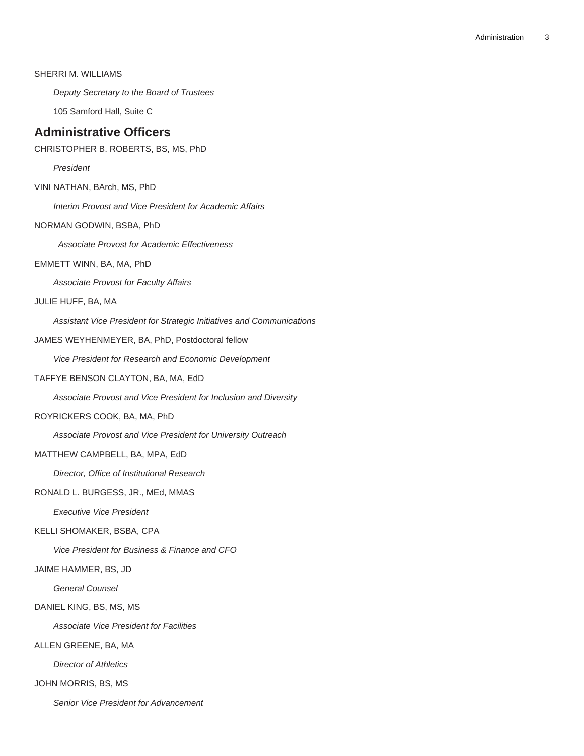# SHERRI M. WILLIAMS

Deputy Secretary to the Board of Trustees

105 Samford Hall, Suite C

# **Administrative Officers**

CHRISTOPHER B. ROBERTS, BS, MS, PhD

President

VINI NATHAN, BArch, MS, PhD

Interim Provost and Vice President for Academic Affairs

# NORMAN GODWIN, BSBA, PhD

Associate Provost for Academic Effectiveness

# EMMETT WINN, BA, MA, PhD

Associate Provost for Faculty Affairs

# JULIE HUFF, BA, MA

Assistant Vice President for Strategic Initiatives and Communications

#### JAMES WEYHENMEYER, BA, PhD, Postdoctoral fellow

Vice President for Research and Economic Development

#### TAFFYE BENSON CLAYTON, BA, MA, EdD

Associate Provost and Vice President for Inclusion and Diversity

#### ROYRICKERS COOK, BA, MA, PhD

Associate Provost and Vice President for University Outreach

# MATTHEW CAMPBELL, BA, MPA, EdD

Director, Office of Institutional Research

# RONALD L. BURGESS, JR., MEd, MMAS

Executive Vice President

#### KELLI SHOMAKER, BSBA, CPA

Vice President for Business & Finance and CFO

#### JAIME HAMMER, BS, JD

General Counsel

## DANIEL KING, BS, MS, MS

Associate Vice President for Facilities

ALLEN GREENE, BA, MA

Director of Athletics

JOHN MORRIS, BS, MS

Senior Vice President for Advancement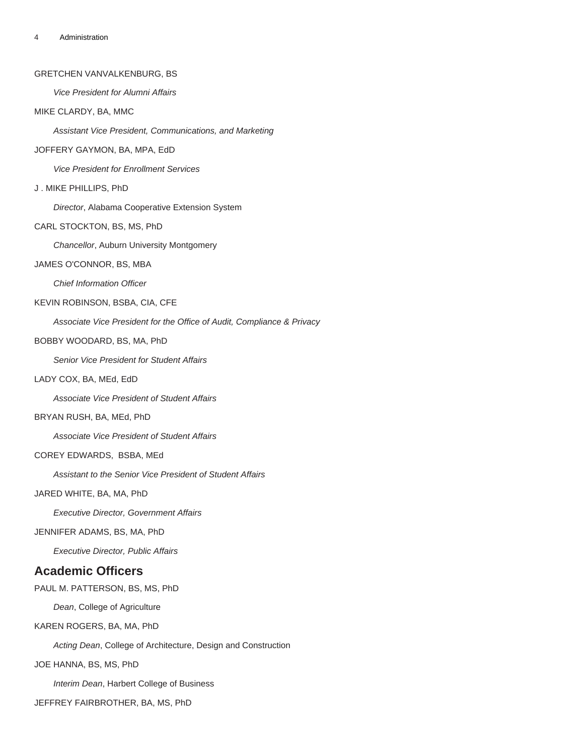## GRETCHEN VANVALKENBURG, BS

Vice President for Alumni Affairs

# MIKE CLARDY, BA, MMC

Assistant Vice President, Communications, and Marketing

#### JOFFERY GAYMON, BA, MPA, EdD

Vice President for Enrollment Services

# J . MIKE PHILLIPS, PhD

Director, Alabama Cooperative Extension System

#### CARL STOCKTON, BS, MS, PhD

Chancellor, Auburn University Montgomery

#### JAMES O'CONNOR, BS, MBA

Chief Information Officer

#### KEVIN ROBINSON, BSBA, CIA, CFE

Associate Vice President for the Office of Audit, Compliance & Privacy

# BOBBY WOODARD, BS, MA, PhD

Senior Vice President for Student Affairs

#### LADY COX, BA, MEd, EdD

Associate Vice President of Student Affairs

## BRYAN RUSH, BA, MEd, PhD

Associate Vice President of Student Affairs

# COREY EDWARDS, BSBA, MEd

Assistant to the Senior Vice President of Student Affairs

#### JARED WHITE, BA, MA, PhD

Executive Director, Government Affairs

#### JENNIFER ADAMS, BS, MA, PhD

Executive Director, Public Affairs

# **Academic Officers**

PAUL M. PATTERSON, BS, MS, PhD

Dean, College of Agriculture

#### KAREN ROGERS, BA, MA, PhD

Acting Dean, College of Architecture, Design and Construction

# JOE HANNA, BS, MS, PhD

Interim Dean, Harbert College of Business

JEFFREY FAIRBROTHER, BA, MS, PhD